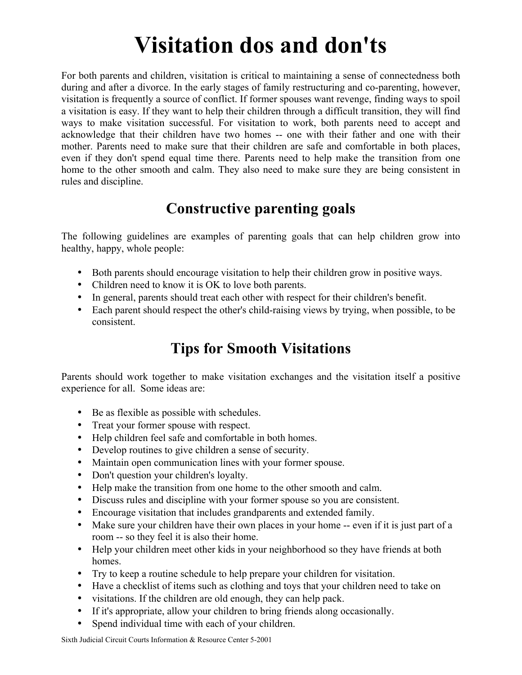# **Visitation dos and don'ts**

For both parents and children, visitation is critical to maintaining a sense of connectedness both during and after a divorce. In the early stages of family restructuring and co-parenting, however, visitation is frequently a source of conflict. If former spouses want revenge, finding ways to spoil a visitation is easy. If they want to help their children through a difficult transition, they will find ways to make visitation successful. For visitation to work, both parents need to accept and acknowledge that their children have two homes -- one with their father and one with their mother. Parents need to make sure that their children are safe and comfortable in both places, even if they don't spend equal time there. Parents need to help make the transition from one home to the other smooth and calm. They also need to make sure they are being consistent in rules and discipline.

## **Constructive parenting goals**

The following guidelines are examples of parenting goals that can help children grow into healthy, happy, whole people:

- Both parents should encourage visitation to help their children grow in positive ways.
- Children need to know it is OK to love both parents.
- In general, parents should treat each other with respect for their children's benefit.
- Each parent should respect the other's child-raising views by trying, when possible, to be consistent.

## **Tips for Smooth Visitations**

Parents should work together to make visitation exchanges and the visitation itself a positive experience for all. Some ideas are:

- Be as flexible as possible with schedules.
- Treat your former spouse with respect.
- Help children feel safe and comfortable in both homes.
- Develop routines to give children a sense of security.
- Maintain open communication lines with your former spouse.
- Don't question your children's loyalty.
- Help make the transition from one home to the other smooth and calm.
- Discuss rules and discipline with your former spouse so you are consistent.
- Encourage visitation that includes grandparents and extended family.
- Make sure your children have their own places in your home -- even if it is just part of a room -- so they feel it is also their home.
- Help your children meet other kids in your neighborhood so they have friends at both homes.
- Try to keep a routine schedule to help prepare your children for visitation.
- Have a checklist of items such as clothing and toys that your children need to take on
- visitations. If the children are old enough, they can help pack.
- If it's appropriate, allow your children to bring friends along occasionally.
- Spend individual time with each of your children.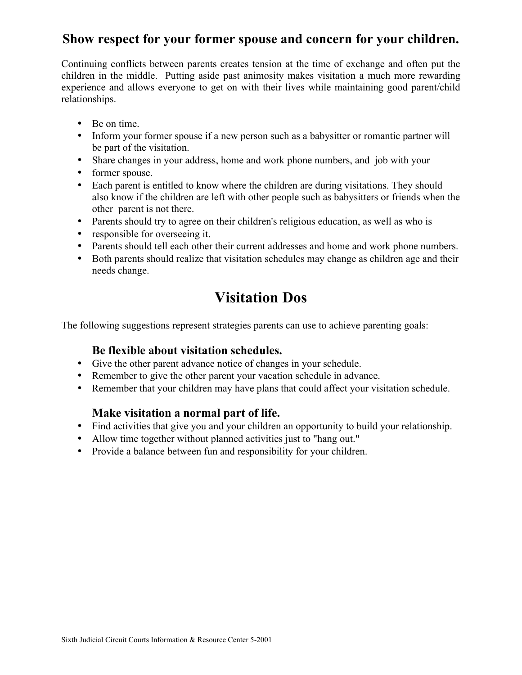### **Show respect for your former spouse and concern for your children.**

Continuing conflicts between parents creates tension at the time of exchange and often put the children in the middle. Putting aside past animosity makes visitation a much more rewarding experience and allows everyone to get on with their lives while maintaining good parent/child relationships.

- Be on time.
- Inform your former spouse if a new person such as a babysitter or romantic partner will be part of the visitation.
- Share changes in your address, home and work phone numbers, and job with your
- former spouse.
- Each parent is entitled to know where the children are during visitations. They should also know if the children are left with other people such as babysitters or friends when the other parent is not there.
- Parents should try to agree on their children's religious education, as well as who is
- responsible for overseeing it.
- Parents should tell each other their current addresses and home and work phone numbers.
- Both parents should realize that visitation schedules may change as children age and their needs change.

## **Visitation Dos**

The following suggestions represent strategies parents can use to achieve parenting goals:

#### **Be flexible about visitation schedules.**

- Give the other parent advance notice of changes in your schedule.
- Remember to give the other parent your vacation schedule in advance.
- Remember that your children may have plans that could affect your visitation schedule.

#### **Make visitation a normal part of life.**

- Find activities that give you and your children an opportunity to build your relationship.
- Allow time together without planned activities just to "hang out."
- Provide a balance between fun and responsibility for your children.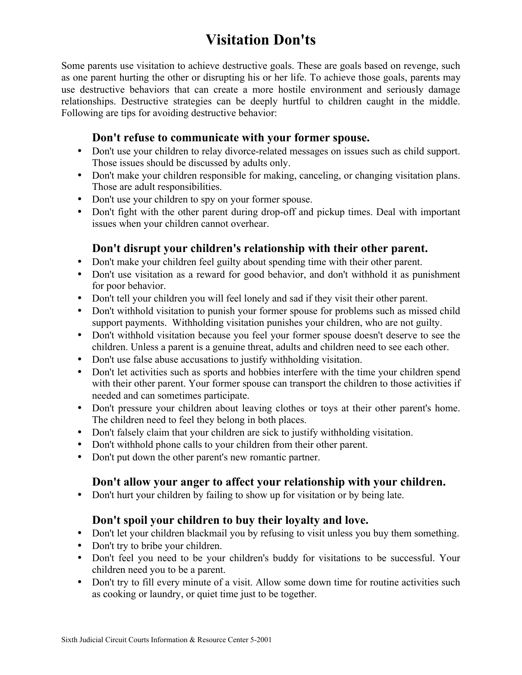## **Visitation Don'ts**

Some parents use visitation to achieve destructive goals. These are goals based on revenge, such as one parent hurting the other or disrupting his or her life. To achieve those goals, parents may use destructive behaviors that can create a more hostile environment and seriously damage relationships. Destructive strategies can be deeply hurtful to children caught in the middle. Following are tips for avoiding destructive behavior:

#### **Don't refuse to communicate with your former spouse.**

- Don't use your children to relay divorce-related messages on issues such as child support. Those issues should be discussed by adults only.
- Don't make your children responsible for making, canceling, or changing visitation plans. Those are adult responsibilities.
- Don't use your children to spy on your former spouse.
- Don't fight with the other parent during drop-off and pickup times. Deal with important issues when your children cannot overhear.

#### **Don't disrupt your children's relationship with their other parent.**

- Don't make your children feel guilty about spending time with their other parent.
- Don't use visitation as a reward for good behavior, and don't withhold it as punishment for poor behavior.
- Don't tell your children you will feel lonely and sad if they visit their other parent.
- Don't withhold visitation to punish your former spouse for problems such as missed child support payments. Withholding visitation punishes your children, who are not guilty.
- Don't withhold visitation because you feel your former spouse doesn't deserve to see the children. Unless a parent is a genuine threat, adults and children need to see each other.
- Don't use false abuse accusations to justify withholding visitation.
- Don't let activities such as sports and hobbies interfere with the time your children spend with their other parent. Your former spouse can transport the children to those activities if needed and can sometimes participate.
- Don't pressure your children about leaving clothes or toys at their other parent's home. The children need to feel they belong in both places.
- Don't falsely claim that your children are sick to justify withholding visitation.
- Don't withhold phone calls to your children from their other parent.
- Don't put down the other parent's new romantic partner.

#### **Don't allow your anger to affect your relationship with your children.**

• Don't hurt your children by failing to show up for visitation or by being late.

#### **Don't spoil your children to buy their loyalty and love.**

- Don't let your children blackmail you by refusing to visit unless you buy them something.
- Don't try to bribe your children.
- Don't feel you need to be your children's buddy for visitations to be successful. Your children need you to be a parent.
- Don't try to fill every minute of a visit. Allow some down time for routine activities such as cooking or laundry, or quiet time just to be together.